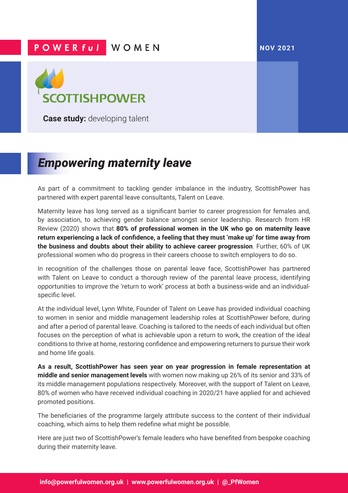## **POWERful WOMEN**

## **NOV 2021**



**Case study:** developing talent

## *Empowering maternity leave*

As part of a commitment to tackling gender imbalance in the industry, ScottishPower has partnered with expert parental leave consultants, Talent on Leave.

Maternity leave has long served as a significant barrier to career progression for females and, by association, to achieving gender balance amongst senior leadership. Research from HR Review (2020) shows that **80% of professional women in the UK who go on maternity leave return experiencing a lack of confidence, a feeling that they must 'make up' for time away from the business and doubts about their ability to achieve career progression**. Further, 60% of UK professional women who do progress in their careers choose to switch employers to do so.

In recognition of the challenges those on parental leave face, ScottishPower has partnered with Talent on Leave to conduct a thorough review of the parental leave process, identifying opportunities to improve the 'return to work' process at both a business-wide and an individualspecific level.

At the individual level, Lynn White, Founder of Talent on Leave has provided individual coaching to women in senior and middle management leadership roles at ScottishPower before, during and after a period of parental leave. Coaching is tailored to the needs of each individual but often focuses on the perception of what is achievable upon a return to work, the creation of the ideal conditions to thrive at home, restoring confidence and empowering returners to pursue their work and home life goals.

**As a result, ScottishPower has seen year on year progression in female representation at middle and senior management levels** with women now making up 26% of its senior and 33% of its middle management populations respectively. Moreover, with the support of Talent on Leave, 80% of women who have received individual coaching in 2020/21 have applied for and achieved promoted positions.

The beneficiaries of the programme largely attribute success to the content of their individual coaching, which aims to help them redefine what might be possible.

Here are just two of ScottishPower's female leaders who have benefited from bespoke coaching during their maternity leave.